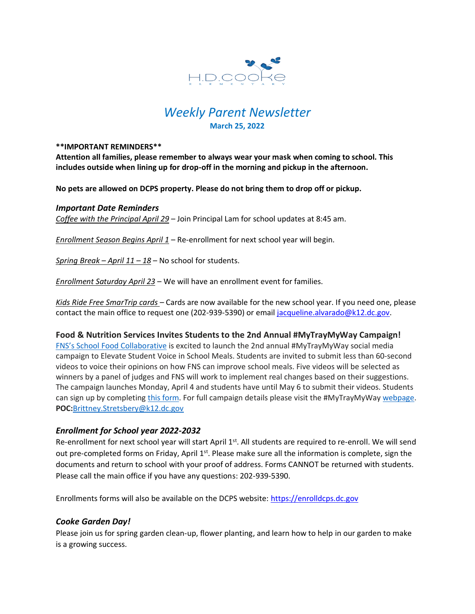

# *Weekly Parent Newsletter* **March 25, 2022**

#### **\*\*IMPORTANT REMINDERS\*\***

**Attention all families, please remember to always wear your mask when coming to school. This includes outside when lining up for drop-off in the morning and pickup in the afternoon.** 

**No pets are allowed on DCPS property. Please do not bring them to drop off or pickup.** 

#### *Important Date Reminders*

*Coffee with the Principal April 29* – Join Principal Lam for school updates at 8:45 am.

*Enrollment Season Begins April 1* – Re-enrollment for next school year will begin.

*Spring Break – April 11 – 18* – No school for students.

*Enrollment Saturday April 23* – We will have an enrollment event for families.

*Kids Ride Free SmarTrip cards* – Cards are now available for the new school year. If you need one, please contact the main office to request one (202-939-5390) or email [jacqueline.alvarado@k12.dc.gov.](mailto:jacqueline.alvarado@k12.dc.gov)

#### **Food & Nutrition Services Invites Students to the 2nd Annual #MyTrayMyWay Campaign!**

FNS's School Food [Collaborative](https://www.dcgreens.org/school-food-collaborative) is excited to launch the 2nd annual #MyTrayMyWay social media campaign to Elevate Student Voice in School Meals. Students are invited to submit less than 60-second videos to voice their opinions on how FNS can improve school meals. Five videos will be selected as winners by a panel of judges and FNS will work to implement real changes based on their suggestions. The campaign launches Monday, April 4 and students have until May 6 to submit their videos. Students can sign up by completing this [form.](https://forms.office.com/Pages/ResponsePage.aspx?id=7kagKk6zM0qSt5md8rwKMgl0gDCHCPhCuYQRaBUjt7BUMDg0Q1pUQVg4MEZXTjRXRUVIT0RUWVkwUy4u&wdLOR=c2A4074B0-BF20-4043-BA73-A0EFC852A8E6) For full campaign details please visit the #MyTrayMyWay [webpage.](https://www.dontmutemyhealth.org/schoolfood) **POC:**[Brittney.Stretsbery@k12.dc.gov](mailto:Brittney.Stretsbery@k12.dc.gov)

# *Enrollment for School year 2022-2032*

Re-enrollment for next school year will start April 1<sup>st</sup>. All students are required to re-enroll. We will send out pre-completed forms on Friday, April 1<sup>st</sup>. Please make sure all the information is complete, sign the documents and return to school with your proof of address. Forms CANNOT be returned with students. Please call the main office if you have any questions: 202-939-5390.

Enrollments forms will also be available on the DCPS website: [https://enrolldcps.dc.gov](https://enrolldcps.dc.gov/)

# *Cooke Garden Day!*

Please join us for spring garden clean-up, flower planting, and learn how to help in our garden to make is a growing success.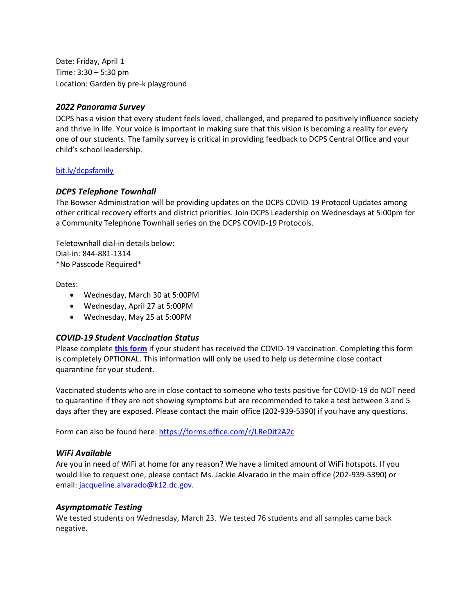Date: Friday, April 1 Time: 3:30 – 5:30 pm Location: Garden by pre-k playground

#### *2022 Panorama Survey*

DCPS has a vision that every student feels loved, challenged, and prepared to positively influence society and thrive in life. Your voice is important in making sure that this vision is becoming a reality for every one of our students. The family survey is critical in providing feedback to DCPS Central Office and your child's school leadership.

#### [bit.ly/dcpsfamily](https://dck12.sharepoint.com/sites/CookPeopleintheOffice/Shared%20Documents/newsletter/bit.ly/dcpsfamily)

#### *DCPS Telephone Townhall*

The Bowser Administration will be providing updates on the DCPS COVID-19 Protocol Updates among other critical recovery efforts and district priorities. Join DCPS Leadership on Wednesdays at 5:00pm for a Community Telephone Townhall series on the DCPS COVID-19 Protocols.

Teletownhall dial-in details below: Dial-in: 844-881-1314 \*No Passcode Required\*

Dates:

- Wednesday, March 30 at 5:00PM
- Wednesday, April 27 at 5:00PM
- Wednesday, May 25 at 5:00PM

#### *COVID-19 Student Vaccination Status*

Please complete **[this form](https://forms.office.com/r/LReDit2A2c)** if your student has received the COVID-19 vaccination. Completing this form is completely OPTIONAL. This information will only be used to help us determine close contact quarantine for your student.

Vaccinated students who are in close contact to someone who tests positive for COVID-19 do NOT need to quarantine if they are not showing symptoms but are recommended to take a test between 3 and 5 days after they are exposed. Please contact the main office (202-939-5390) if you have any questions.

Form can also be found here:<https://forms.office.com/r/LReDit2A2c>

#### *WiFi Available*

Are you in need of WiFi at home for any reason? We have a limited amount of WiFi hotspots. If you would like to request one, please contact Ms. Jackie Alvarado in the main office (202-939-5390) or email: [jacqueline.alvarado@k12.dc.gov.](mailto:jacqueline.alvarado@k12.dc.gov)

#### *Asymptomatic Testing*

We tested students on Wednesday, March 23. We tested 76 students and all samples came back negative.